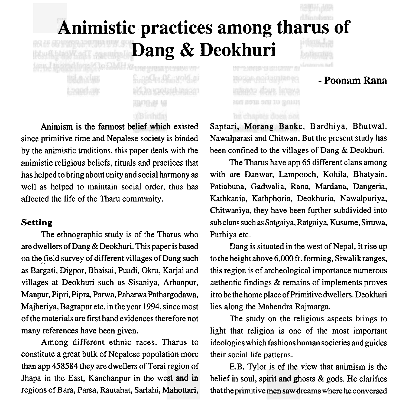# Animistic practices among tharus of **Dang** & **Deokhuri**

Sina Gra OEnvold ai **1941 (Figs. 4)** 

**THE FRIEST DUPSING** 

Animism is the farmost belief which existed since primitive time and Nepalese society is binded by the animistic traditions, this paper deals with the animistic religious beliefs, rituals and practices that has helped to bring about unity and social harmony as well as helped to maintain social order, thus has affected the life of the Tharu community.

#### **Setting**

The ethnographic study is of the Tharus who are dwellers of Dang & Deokhuri. This paper is based on the field survey of different villages of Dang such as Bargati, Digpor, Bhaisai, Puadi, Okra, Karjai and villages at Deokhuri such as Sisaniya, Arhanpur, Manpur, Pipri, Pipra, Parwa, PaharwaPathargodawa, Majheriya, Bagrapur etc. in the year 1994, since most of the materials are first hand evidences therefore not many references have been given.

Among different ethnic races, Tharus to constitute a great bulk of Nepalese population more than app 458584 they are dwellers of Terai region of - Jhapa in the East, Kanchanpur in the west and in regions of Bara, Parsa, Rautahat, Sarlahi, Mahottari,

**UP TENNIS YN BULGYNT A** 

### - **Poonam Rana**

Saptari, Morang Banke, Bardhiya, Bhutwal, Nawalparasi and Chitwan. But the present study has been confined to the villages of Dang & Deokhuri.

The Tharus have app 65 different clans among with are Danwar, Lampooch, Kohila, Bhatyain, Patiabuna, Gadwalia, Rana, Mardana, Dangeria, Kathkania, Kathphoria, Deokhuria, Nawalpuriya, Chitwaniya, they have been further subdivided into subclans such as Satgaiya, Ratgaiya, Kusume, Siruwa, Purbiya etc.

Dang is situated in the west of Nepal, it rise up to the height above 6,000 ft. forming, Siwalikranges, this region is of archeological importance numerous authentic findings & remains of implements proves it to be the home placeof Primitive dwellers. Deokhuri lies along the Mahendra Rajmarga.

The study on the religious aspects brings to light that religion is one of the most important ideologies which fashions human societies and guides their social life patterns.

E.B. Tylor is of the view that animism is the belief in soul, spirit and ghosts  $\&$  gods. He clarifies that the primitive men saw dreams where he conversed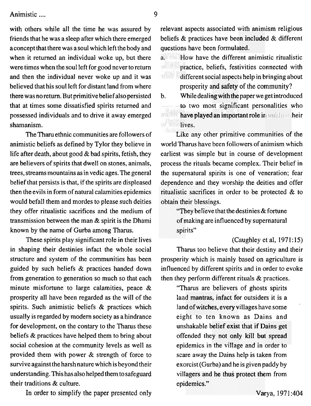with others while all the time he was assured by friends that he was a sleep after which there emerged aconcept that there was a soul which left the body and when it returned an individual woke up, but there were times when the soul left for good never to return and then the individual never woke up and it was believed that his soul left for distant land from where there was no return. But primitive belief also persisted that at times some dissatisfied spirits returned and possessed individuals and to drive it away emerged shamanism.

The Tharu ethnic communities are followers of animistic beliefs as defined by Tylor they believe in life after death, about good  $&$  bad spirits, fetish, they are believers of spirits that dwell on stones, animals, trees, streams mountains as in vedic ages. The general belief that persists is that, if the spirits are displeased then the evils in form of natural calamities epidemics would befall them and mordes to please such deities they offer ritualistic sacrifices and the medium of transmission between the man & spirit is the Dhami known by the name of Gurba among Tharus.

These spirits play significant role in their lives in shaping their destinies infact the whole social structure and system of the communities has been guided by such beliefs & practices handed down from generation to generation so much so that each minute misfortune to large calamities, peace & prosperity all have been regarded as the will of the spirits. Such animistic beliefs & practices which usually is regarded by modern society as a hindrance for development, on the contary to the Tharus these beliefs & practices have helped them to bring about social cohesion at the community levels as well as provided them with power & strength of force to survive against the harsh nature which is beyond their understanding. This has also helped them to safeguard their traditions & culture.

In order to simplify the paper presented only

relevant aspects associated with animism religious beliefs  $\&$  practices have been included  $\&$  different questions have been formulated.

- **EXECUTE:** How have the different animistic ritualistic  $\mathbf{a}$ . wi practice, beliefs, festivities connected with fferent social aspects help in bringing about prosperity and safety of the community?
- b. While dealing with the paper we get introduced to two most significant personalities who **ive played an important role ir** guiding their dives.

ritualistic sacrifices in order to be protected & to obtain their blessings. Like any other primitive communities of the world Tharus have been followers of animism which earliest was simple but in course of development process the rituals became complex. Their belief in the supernatural spirits is one of veneration; fear dependence and they worship the deities and offer

rulen biessings.<br>"They believe that the destinies & fortune of making are influenced by supernatural spirits"

Tharus too believe that their destiny and their prosperity which is mainly based on agriculture is (Caughley et al, **1971:** 15) influenced by different spirits and in order to evoke then they perform different rituals & practices.

> land mantras, infact for outsiders it is a land of witches, every villages have some<br>eight, to, tan, known, es. Dains, and villagers and he thus protect them from epidemics." unshakable belief exist that if Dains get offended they not only kill but spread<br>epidemics in the village and in order to offended they not only kill but spread<br>epidemics in the village and in order to "Tharus are believers of ghosts spirits eight to ten known as Dains and scare away the Dains help is taken from exorcist (Gurba) and he is given paddy by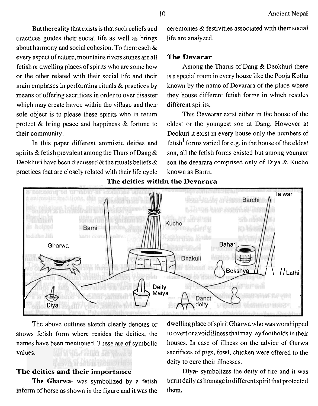practices guides their social life as well as brings life are analyzed. about harmony and social cohesion. To them each & every aspect of nature, mountains rivers stones are all **The Devarar**  fetish or dwelling places of spirits who are some how Among the Tharus of Dang & Deokhuri there means of offering sacrifices in order to over disaster they house different fetish forms in which resides which may create havoc within the village and their different spirits. sole object is to please these spirits who in return This Devearar exist either in the house of the

spirits & fetish prevalent among the Thurs of Dang  $\&$  son, all the fetish forms existed but among younger Deokhuri have been discussed & the rituals beliefs  $\&$  son the deearara comprised only of Diya & Kucho practices that are closely related with their life cycle known as Barni.

But the reality that exists is that such beliefs and ceremonies  $\&$  festivities associated with their social

or the other related with their social life and their is a special room in every house like the Pooja Kotha main emphases in performing rituals & practices by known by the name of Devarara of the place where

protect & bring peace and happiness & fortune to eldest or the youngest son at Dang. However at their community. Deokuri it exist in every house only the numbers of In this paper different animistic deities and fetish<sup>1</sup> forms varied for e.g. in the house of the eldest



**The deities within the Devarara** 

values.

#### The deities and their importance

inform of horse as shown in the figure and it was the them.

The above outlines sketch clearly denotes or dwelling place of spirit Gharwa who was worshipped shows fetish fonn where resides the deities, the to overt or avoid illness thatmay lay footholds in their names have been mentioned. These are of symbolic houses. In case of illness on the advice of Gurwa sacrifices of pigs, fowl, chicken were offered to the deity to cure their illnesses.

Diya- symbolizes the deity of fire and it was The Gharwa- was symbolized by a fetish burntdaily as homage to different spirit that protected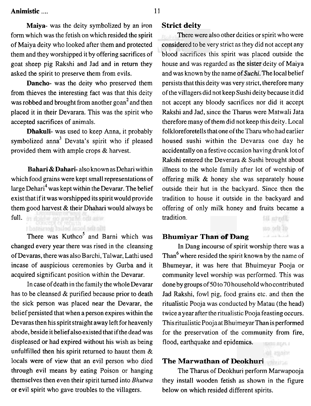**Maiya-** was the deity symbolized by an iron form which was the fetish on which resided the spirit of Maiya deity who looked after them and protected them and they worshipped it by offering sacrifices of goat sheep pig Rakshi and Jad and in return they asked the spirit to preserve them from evils.

**Dancho-** was the deity who preserved them from thieves the interesting fact was that this deity was robbed and brought from another goan<sup>2</sup> and then placed it in their Devarara. This was the spirit who accepted sacrifices of animals.

**Dhakuli-** was used to keep Anna, it probably symbolized anna<sup>3</sup> Devata's spirit who if pleased provided them with ample crops & harvest.

**Bahari** & **Dahari-** also known as Dehari within which food grains were kept small representations of large Dehari<sup>4</sup> was kept within the Devarar. The belief exist that if it was worshipped its spirit would provide them good harvest  $&$  their Dhahari would always be full. In doinw do swash, out as w

There was  $Kuthco<sup>5</sup>$  and Barni which was changed every year there was rised in the cleansing of Devaras, there was also Barchi, Talwar, Lathi used incase of auspicious ceremonies by Gurba and it acquired significant position within the Devarar.

the the local label acceived t

In case of death in the family the whole Devarar has to be cleansed & purified because prior to death the sick person was placed near the Devarar, the belief persisted that when a person expires within the Devaras then his spirit straight away left for heavenly abode, beside it belief also existed that if the dead was displeased or had expired without his wish as being unfulfilled then his spirit returned to haunt them & locals were of view that an evil person who died through evil means by eating Poison or hanging themselves then even their spirit turned into *Bhutwa*  or evil spirit who gave troubles to the villagers.

#### **Strict deity**

lere were **<sup>2</sup>** ilso other deities or spirit who were considered to be very strict as they did not accept any considered to be very strict as they did not accept any<br>blood sacrifices this spirit was placed outside the house and was regarded as the sister deity of Maiya and was known by the name of *Suchi*. The local belief persists that this deity was very strict, therefore many of the villagers did not keep Sushi deity because it did not accept any bloody sacrifices nor did it accept Rakshi and Jad, since the Tharus were Matwali Jata therefore many of them did not keep this deity. Local folkloreforetells that one of the Tharu who had earlier housed sushi within the Devaras one day he accidentally on a festive occasion having drunk lot of Rakshi entered the Deverara & Sushi brought about illness to the whole family after lot of worship of offering milk & honey she was separately house outside their hut in the backyard. Since then the tradition to house it outside in the backyard and offering of only milk honey and fruits became a tradition. Havta Bl

#### **Bhumiyar Than of Dang**

In Dang incourse of spirit worship there was a Than<sup>6</sup> where resided the spirit known by the name of Bhumeyar, it was here that Bhuimeyar Pooja or community level worship was performed. This was done by groups of 50 to 70 household who contributed Jad Rakshi, fowl pig, food grains etc. and then the ritualistic Pooja was conducted by Matau (the head) twice a year after the ritualistic Pooja feasting occurs. This ritualistic Poojaat BhuimeyarThan is performed for the preservation of the community from fire, flood, earthquake and epidemics. DITE SLAU

**College Street** 

#### **The Marwathan of Deokhuri**

The Tharus of Deokhuri perform Marwapooja they install wooden fetish as shown in the figure below on which resided different spirits.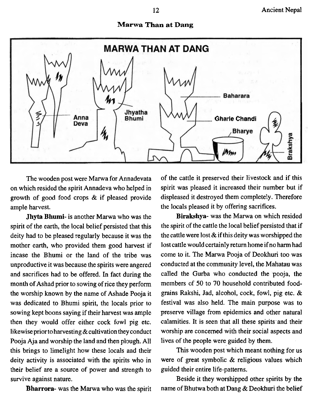#### **Marwa Than at Dang**



The wooden post were Marwa for Annadevata on which resided the spirit Annadeva who helped in growth of good food crops & if pleased provide ample harvest.

**Jhyta Bhumi-** is another Marwa who was the spirit of the earth, the local belief persisted that this deity had to be pleased regularly because it was the mother earth, who provided them good harvest if incase the Bhumi or the land of the tribe was unproductive it was because the spirits were angered and sacrifices had to be offered. In fact during the month of Ashad prior to sowing of rice they perform the worship known by the name of Ashade Pooja it was dedicated to Bhumi spirit, the locals prior to sowing kept boons saying if their harvest was ample then they would offer either cock fowl pig etc. likewise prior to harvesting & cultivation they conduct Pooja Aja and worship the land and then plough. All this brings to limelight how these locals and their deity activity is associated with the spirits who in their belief are a source of power and strength to survive against nature.

**Bharrora-** was the Marwa who was the spirit

of the cattle it preserved their livestock and if this spirit was pleased it increased their number but if displeased it destroyed them completely. Therefore the locals pleased it by offering sacrifices.

**Birakshya-** was the Marwa on which resided the spirit of the cattle the local belief persisted that if the cattle were lost  $\&$  if this deity was worshipped the lost cattle would certainly return home if no harm had come to it. The Marwa Pooja of Deokhuri too was conducted at the community level, the Mahatau was called the Gurba who conducted the pooja, the members of 50 to 70 household contributed foodgrains Rakshi, Jad, alcohol, cock, fowl, pig etc. & festival was also held. The main purpose was to preserve village from epidemics and other natural calamities. It is seen that all these spirits and their worship are concerned with their social aspects and lives of the people were guided by them.

This wooden post which meant nothing for us were of great symbolic & religious values which guided their entire life-patterns.

Beside it they worshipped other spirits by the name of Bhutwa both at Dang & Deokhuri the belief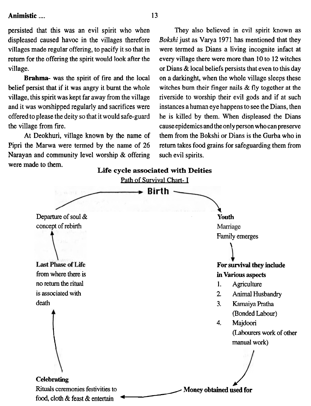persisted that this was an evil spirit who when They also believed in evil spirit known as

Narayan and community level worship  $\&$  offering such evil spirits. were made to them.

displeased caused havoc in the villages therefore **Bokshi** just as Varya 1971 has mentioned that they villages made regular offering, to pacify it so that in were termed as Dians a living incognite infact at return for the offering the spirit would look after the every village there were more than 10 to 12 witches village.  $\blacksquare$  or Dians & local beliefs persists that even to this day **Brahma-** was the spirit of fire and the local on a darkinght, when the whole village sleeps these belief persist that if it was angry it burnt the whole witches burn their finger nails & fly together at the village, this spirit was kept far away from the village riverside to worship their evil gods and if at such and it was worshipped regularly and sacrifices were instances a human eye happens to see the Dians, then offered to please the deity so that it would safe-guard he is killed by them. When displeased the Dians the village from fire. cause epidemics and the only person who can preserve **At** Deokhuri, village known by the name of them from the Bokshi or Dians is the Gurba who in Pipri the Marwa were termed by the name of 26 return takes food grains for safeguarding them from

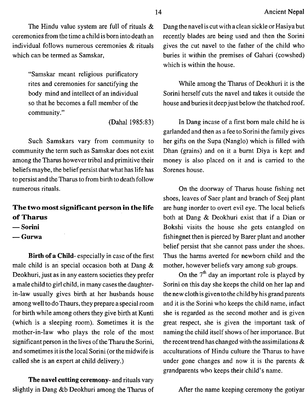The Hindu value system are full of rituals & ceremonies from the time achild is born intodeath an individual follows numerous ceremonies & rituals which can be termed as Samskar,

> "Samskar meant religious purificatory rites and ceremonies for sanctifying the body mind and intellect of an individual so that he becomes a full member of the community ."

> > (Dahal 1985:83)

Such Samskars vary from community to community the term such as Samskar does not exist among the Tharus however tribal and primitive their beliefs maybe, the belief persist that what has life has to persist and theTharus to from birth to death follow numerous rituals.

## **The two most significant person in the life of Tharus**  - **Sorini**

- Sorini<br>— Gurwa
- 

**Birth of a Child-** especially in case of the first male child is an special occasion both at Dang & Deokhuri, just as in any eastern societies they prefer a male child to girl child, in many cases the daughterin-law usually gives birth at her husbands house among well to do Thaurs, they prepare a special room for birth while among others they give birth at Kunti (which is a sleeping room). Sometimes it is the mother-in-law who plays the role of the most significant person in the lives of the Tharu the Sorini, and sometimes it is the local Sorini (or the midwife is called she is an expert at child delivery.)

**The navel cutting ceremony-** and rituals vary slightly in Dang &b Deokhuri among the Tharus of Dang the navel is cut with a clean sickle or Hasiya but recently blades are being used and then the Sorini gives the cut navel to the father of the child who buries it within the premises of Gahari (cowshed) which is within the house.

While among the Tharus of Deokhuri it is the Sorini herself cuts the navel and takes it outside the house and buries it deep just below the thatched roof.

In Dang incase of a first born male child he is garlanded and then as a fee to Sorini the family gives her gifts on the Supa (Nanglo) which is filled with Dhan (grains) and on it a burnt Diya is kept and money is also placed on it and is carried to the Sorenes house.

On the doorway of Tharus house fishing net shoes, leaves of Saer plant and branch of Seej plant are hung inorder to overt evil eye. The local beliefs both at Dang & Deokhuri exist that if a Dian or Bokshi visits the house she gets entangled on fishingnet then is pierced by Barer plant and another belief persist that she cannot pass under the shoes. Thus the harms averted for newborn child and the mother, however beliefs vary among sub groups.

On the  $7<sup>th</sup>$  day an important role is played by Sorini on this day she keeps the child on her lap and the new cloth is given to the child by his grand parents and it is the Sorini who keeps the child name, infact she is regarded as the second mother and is given great respect, she is given the important task of naming the child itself shows of her importance. But the recent trend has changed with the assimilations  $\&$ acculturations of Hindu culture the Tharus to have under gone changes and now it is the parents & grandparents who keeps their child's name.

After the name keeping ceremony the gotiyar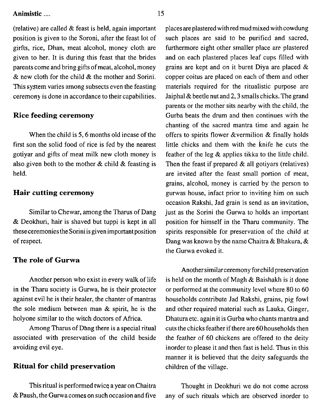(relative) are called  $&$  feast is held, again important position is given to the Soroni, after the feast lot of girfts, rice, Dhan, meat alcohol, money cloth are given to her. It is during this feast that the brides parents come and bring gifts of meat, alcohol, money & new cloth for the child & the mother and Sorini. This system varies among subsects even the feasting ceremony is done in accordance to their capabilities.

#### **Rice feeding ceremony**

When the child is 5, 6 months old incase of the first son the solid food of rice is fed by the nearest gotiyar and gifts of meat milk new cloth money is also given both to the mother  $\&$  child  $\&$  feasting is held.

#### **Hair cutting ceremony**

Similar to Chewar, among the Tharus of Dang & Deokhuri, hair is shaved but tuppi is kept in all theseceremonies the Sorini is given important position of respect.

#### **The role of Gurwa**

Another person who exist in every walk of life in the Tharu society is Gurwa, he is their protector against evil he is their healer, the chanter of mantras the sole medium between man & spirit, he is the holyone similar to the witch doctors of Africa.

Among Tharus of Dang there is a special ritual associated with preservation of the child beside avoiding evil eye.

#### **Ritual for child preservation**

This ritual is performed twice a year on Chaitra  $&$  Paush, the Gurwa comes on such occasion and five places are plastered withred mudmixed with cowdung such places are said to be purified and sacred, furthermore eight other smaller place are plastered and on each plastered places leaf cups filled with grains are kept and on it burnt Diya are placed & copper coitus are placed on each of them and other materials required for the ritualistic purpose are Jaiphal  $&$  beetle nut and 2, 3 smalls chicks. The grand parents or the mother sits nearby with the child, the Gurba beats the drum and then continues with the chanting of the sacred mantra time and again he offers to spirits flower &vermilion & finally holds little chicks and them with the knife he cuts the feather of the leg & applies tikka to the little child. Then the feast if prepared  $&$  all gotiyars (relatives) are invited after the feast small portion of meat, grains, alcohol, money is carried by the person to gurwas house, infact prior to inviting him on such occasion Rakshi, Jad grain is send as an invitation, just as the Sorini the Gurwa to holds an important position for himself in the Tharu community. The spirits responsible for preservation of the child at Dang was known by the name Chaitra & Bhakura, & the Gurwa evoked it.

Another similar ceremony for child preservation is held on the month of Magh & Baishakh is it done or performed at the community level where 80 to 60 households contribute Jad Rakshi, grains, pig fowl and other required material such as Lauka, Ginger, Dhatura etc. again it is Gurba who chants mantra and cuts the chicks feather if there are60 households then the feather of 60 chickens are offered to the deity inorder to please it and then fast is held. Thus in this manner it is believed that the deity safeguards the children of the village.

Thought in Deokhuri we do not come across any of such rituals which are observed inorder to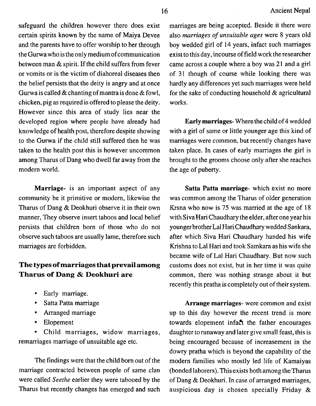safeguard the children however there does exist certain spirits known by the name of Maiya Devee and the parents have to offer worship to her through the Gurwa who is the only medium ofcommunication between man & spirit. If the child suffers from fever or vomits or is the victim of diahoreal diseases then the belief persists that the deity is angry and at once Gurwa is called  $\&$  chanting of mantra is done  $\&$  fowl, chicken, pig as required is offered to please the deity. However since this area of study lies near the developed region where people have already had knowledge of health post, therefore despite showing to the Gurwa if the child still suffered then he was taken to the health post this is however uncommon among Tharus of Dang who dwell far away from the modern world.

Marriage- is an important aspect of any community be it primitive or modern, likewise the Tharus of Dang & Deokhuri observe it in their own manner, They observe insert taboos and local belief persists that children born of those who do not observe such taboos are usually lame, therefore such marriages are forbidden.

#### **The types of marriages that prevail among Tharus of Dang** & **Deokhuri are**

- Early marriage.
- Satta Patta marriage
- Arranged marriage
- Elopement

Child marriages, widow marriages, remarriages marriage of unsuitable age etc.

The findings were that the child born out of the marriage contracted between people of same clan were called *Seethe* earlier they were tabooed by the Tharus but recently changes has emerged and such

marriages are being accepted. Beside it there were also *marriages* of *unsuitable ages* were 8 years old boy wedded girl of 14 years, infact such marriages exist to this day, incourse of field work the researcher came across a couple where a boy was 21 and a girl of 31 though of course while looking there was hardly any differences yet such marriages were held for the sake of conducting household & agricultural works.

Early marriages- Where thechild of4 wedded with a girl of same or little younger age this kind of marriages were common, but recently changes have taken place. In cases of early marriages the girl is brought to the grooms choose only after she reaches the age of puberty.

Satta Patta marriage- which exist no more was common among the Tharus of older generation Krsna who now is *75* was married at the age of 18 with Siva Hari Chaudhary the elder, after one year his youngerbrother Lal Hari Chaudhary wedded Sankara, after which Siva Hari Chaudhary handed his wife Krishna to Lal Hari and took Samkara as his wife she became wife of La1 Hari Chaudhary. But now such customs does not exist, but in her time it was quite common, there was nothing strange about it but recently this pratha is completely out of their system.

Arrange marriages- were common and exist up to this day however the recent trend is more towards elopement infact the father encourages daughter to runaway and later give small feast, this is being encouraged because of increasement in the dowry pratha which is beyond the capability of the modern families who mostly led life of Kamaiyas (bonded laborers). This exists both among theTharus of Dang & Deokhuri. In case of arranged marriages, auspicious day is chosen specially Friday &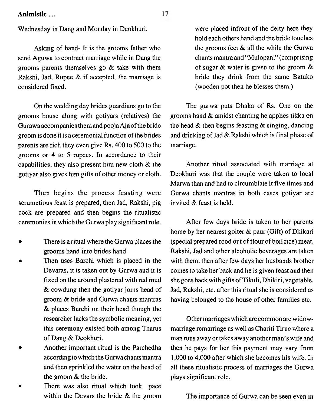Wednesday in Dang and Monday in Deokhuri.

Asking of hand- It is the grooms father who send Aguwa to contract marriage while in Dang the grooms parents themselves go & take with them Rakshi, Jad, Rupee & if accepted, the marriage is considered fixed.

On the wedding day brides guardians go to the grooms house along with gotiyars (relatives) the Gurawaaccompanies them andpooja Ajaof the bride groom is done it is a ceremonial function of the brides parents are rich they even give Rs. 400 to 500 to the grooms or 4 to 5 rupees. In accordance to their capabilities, they also present him new cloth & the gotiyar also gives him gifts of other money or cloth.

Then begins the process feasting were scrumetious feast is prepared, then Jad, Rakshi, pig cock are prepared and then begins the ritualistic ceremonies in which the Gurwa play significant role.

- There is aritual where the Gurwaplaces the grooms hand into brides hand
- Then uses Barchi which is placed in the Devaras, it is taken out by Gurwa and it is fixed on the around plastered with red mud & cowdung then the gotiyar joins head of groom & bride and Gurwa chants mantras & places Barchi on their head though the researcher lacks the symbolic meaning, yet this ceremony existed both among Tharus of Dang & Deokhuri.
- Another important ritual is the Parchedha  $\bullet$ according to which theGurwachants mantra and then sprinkled the water on the head of the groom & the bride.
- There was also ritual which took pace é within the Devars the bride & the groom

were placed infront of the deity here they hold each others hand and the bride touches the grooms feet & all the while the Gurwa chants mantra and "Mulopani" (comprising of sugar & water is given to the groom & bride they drink from the same Batuko (wooden pot then he blesses them.)

The gurwa puts Dhaka of Rs. One on the grooms hand & amidst chanting he applies tikka on the head & then begins feasting & singing, dancing and drinking of Jad & Rakshi which is final phase of marriage.

Another ritual associated with marriage at Deokhuri was that the couple were taken to local Marwa than and had to circumblate it five times and Gurwa chants mantras in both cases gotiyar are invited & feast is held.

After few days bride is taken to her parents home by her nearest goiter & paur (Gift) of Dhikari (special prepared food out of flour of boil rice) meat, Rakshi, Jad and other alcoholic beverages are taken with them, then after few days her husbands brother comes to take her back and he is given feast and then she goes back with gifts ofTikuli, Dhikiri, vegetable, Jad, Rakshi, etc. after this ritual she is considered as having belonged to the house of other families etc.

Othermarriages which are common are widowmarriage remarriage as well as Chariti Tirne where a man runs away or takes away another man's wife and then he pays for her this payment may vary from 1,000 to 4,000 after which she becomes his wife. In all these ritualistic process of marriages the Gurwa plays significant role.

The importance of Gurwa can be seen even in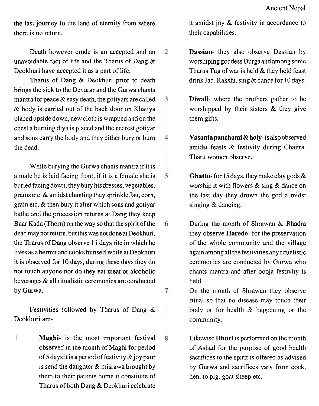the last journey to the land of eternity from where there is no return.

Death however crude is an accepted and an unavoidable fact of life and the Tharus of Dang & Deokhuri have accepted it as a part of life.

Tharus of Dang & Deokhuri prior to death brings the sick to the Devarar and the Gurwa chants mantra for peace  $\&$  easy death, the gotivars are called & body is carried out of the back door on Khatiya placed upside down, new cloth is wrapped and on the chest a burning diya is placed and the nearest gotiyar and sons carry the body and they either bury or burn the dead.

While burying the Gurwa chants mantra if it is a male he is laid facing front, if it is a female she is buried facing down, they bury hisdresses, vegetables, grams etc. & amidst chanting they sprinkle Jau, corn, grain etc.  $&$  then bury it after which sons and gotiyar bathe and the procession returns at Dang they keep Baar Kada (Thorn) on the way so that the spirit of the dead may not return, but this was not doneat Deokhuri, the Tharus of Dang observe 1 1 days rite in which he lives as a hermit and cooks himself while at Deokhuri it is observed for 10 days, during these days they do not touch anyone nor do they eat meat or alcoholic beverages & all ritualistic ceremonies are conducted by Gurwa.

Festivities followed by Tharus of Dang & Deokhuri are-

1 **Maghi-** is the most important festival observed in the month of Maghi for period of 5 days it is a period of festivity  $\&$  joy paur is send the daughter & misrawa brought by them to their parents home it constitute of Tharus of both Dang & Deokhuri celebrate

it amidst joy & festivity in accordance to their capabilities.

- **Dassian-** they also observe Dassian by  $\mathcal{L}$ worshiping goddess Durgaand among some Tharus Tug of war is held & they held feast drink Jad, Rakshi, sing & dance for 10 days.
- 3 **Diwali-** where the brothers gather to be worshipped by their sisters & they give them gifts.
	- **Vasanta panchami** & **holy-** is alsoobserved amidst feasts & festivity during Chaitra. Tharu women observe.

 $\overline{4}$ 

6

7

 $\mathbf{8}$ 

- 5 **Ghattu-** for **15** days, they make clay gods & worship it with flowers & sing & dance on the last day they drown the god a midst singing & dancing.
	- During the month of Shrawan & Rhadra they observe **Harede-** for the preservation of the whole community and the village again among all the festivities any ritualistic ceremonies are conducted by Gurwa who chants mantra and after pooja festivity is held.
		- On the month of Shrawan they observe ritual so that no disease may touch their body or for health & happening or the community.
		- Likewise **Dhuri** is performed on the month of Ashad for the purpose of good health sacrifices to the spirit is offered as advised by Gurwa and sacrifices vary from cock, hen, to pig, goat sheep etc.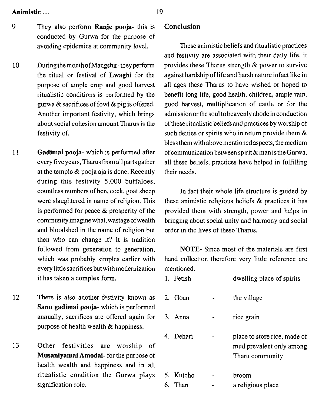- **9** They also perfom1 **Ranje pooja-** this is conducted by Gurwa for the purpose of avoiding epidemics at community level.
- 10 During the monthofMangshir- they perform the ritual or festival of **Lwaghi** for the purpose of ample crop and good harvest ritualistic conditions is performed by the gurwa & sacrifices of fowl & pig is offered. Another important festivity, which brings about social cohesion amount Tharus is the festivity of.
- 11 **Gadimai pooja-** which is performed after every five years, Tharus from all parts gather at the temple & pooja aja is done. Recently during this festivity 5,000 buffaloes, countless numbers of hen, cock, goat sheep were slaughtered in name of religion. This is performed for peace & prosperity of the community imagine what, wastage ofwealth and bloodshed in the name of religion but then who can change it? It is tradition followed from generation to generation, which was probably simples earlier with every little sacrifices but with modernization it has taken a complex form.
- 12 There is also another festivity known as **Sanu gadimai pooja-** which is performed annually, sacrifices are offered again for purpose of health wealth & happiness.
- 13 Other festivities are worship of **Musaniyamai Amodai-** for the purpose of health wealth and happiness and in all ritualistic condition the Gurwa piays signification role.

#### **Conclusion**

These animistic beliefs and ritualistic practices and festivity are associated with their daily life, it provides these Tharus strength & power to survive against hardship of life and harsh nature infact like in all ages these Tharus to have wished or hoped to benefit long life, good health, children, ample rain, good harvest, multiplication of cattle or for the admission or the soul to heavenly abode in conduction of these ritualistic beliefs and practices by worship of such deities or spirits who in return provide them & bless them with above mentioned aspects, themedium ofcommunication between spirit & man is the Gurwa, all these beliefs, practices have helped in fulfilling their needs.

In fact their whole life structure is guided by these animistic religious beliefs & practices it has provided them with strength, power and helps in bringing about social unity and harmony and social order in the lives of these Tharus.

NOTE- Since most of the materials are first hand collection therefore very little reference are mentioned.

| 1. Fetish            | dwelling place of spirits                                                   |
|----------------------|-----------------------------------------------------------------------------|
| 2. Goan              | the village                                                                 |
| 3. Anna              | rice grain                                                                  |
| 4. Dehari            | place to store rice, made of<br>mud prevalent only among<br>Tharu community |
| 5. Kutcho<br>6. Than | broom<br>a religious place                                                  |
|                      |                                                                             |